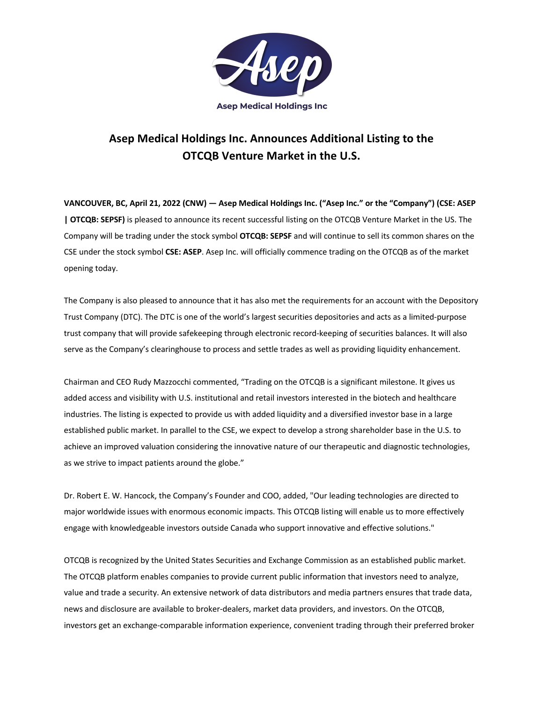

## **Asep Medical Holdings Inc. Announces Additional Listing to the OTCQB Venture Market in the U.S.**

**VANCOUVER, BC, April 21, 2022 (CNW) — Asep Medical Holdings Inc. ("Asep Inc." or the "Company") (CSE: ASEP | OTCQB: SEPSF)** is pleased to announce its recent successful listing on the OTCQB Venture Market in the US. The Company will be trading under the stock symbol **OTCQB: SEPSF** and will continue to sell its common shares on the CSE under the stock symbol **CSE: ASEP**. Asep Inc. will officially commence trading on the OTCQB as of the market opening today.

The Company is also pleased to announce that it has also met the requirements for an account with the Depository Trust Company (DTC). The DTC is one of the world's largest securities depositories and acts as a limited-purpose trust company that will provide safekeeping through electronic record-keeping of securities balances. It will also serve as the Company's clearinghouse to process and settle trades as well as providing liquidity enhancement.

Chairman and CEO Rudy Mazzocchi commented, "Trading on the OTCQB is a significant milestone. It gives us added access and visibility with U.S. institutional and retail investors interested in the biotech and healthcare industries. The listing is expected to provide us with added liquidity and a diversified investor base in a large established public market. In parallel to the CSE, we expect to develop a strong shareholder base in the U.S. to achieve an improved valuation considering the innovative nature of our therapeutic and diagnostic technologies, as we strive to impact patients around the globe."

Dr. Robert E. W. Hancock, the Company's Founder and COO, added, "Our leading technologies are directed to major worldwide issues with enormous economic impacts. This OTCQB listing will enable us to more effectively engage with knowledgeable investors outside Canada who support innovative and effective solutions."

OTCQB is recognized by the United States Securities and Exchange Commission as an established public market. The OTCQB platform enables companies to provide current public information that investors need to analyze, value and trade a security. An extensive network of data distributors and media partners ensures that trade data, news and disclosure are available to broker-dealers, market data providers, and investors. On the OTCQB, investors get an exchange-comparable information experience, convenient trading through their preferred broker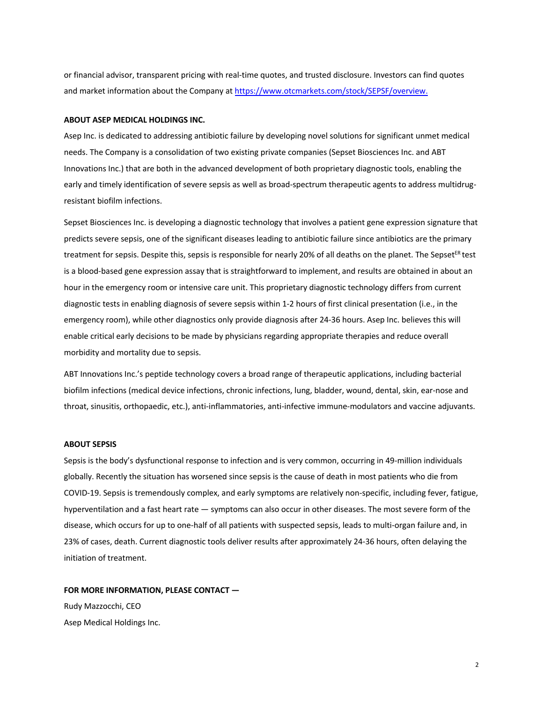or financial advisor, transparent pricing with real-time quotes, and trusted disclosure. Investors can find quotes and market information about the Company at https://www.otcmarkets.com/stock/SEPSF/overview.

## **ABOUT ASEP MEDICAL HOLDINGS INC.**

Asep Inc. is dedicated to addressing antibiotic failure by developing novel solutions for significant unmet medical needs. The Company is a consolidation of two existing private companies (Sepset Biosciences Inc. and ABT Innovations Inc.) that are both in the advanced development of both proprietary diagnostic tools, enabling the early and timely identification of severe sepsis as well as broad-spectrum therapeutic agents to address multidrugresistant biofilm infections.

Sepset Biosciences Inc. is developing a diagnostic technology that involves a patient gene expression signature that predicts severe sepsis, one of the significant diseases leading to antibiotic failure since antibiotics are the primary treatment for sepsis. Despite this, sepsis is responsible for nearly 20% of all deaths on the planet. The Sepset<sup>ER</sup> test is a blood-based gene expression assay that is straightforward to implement, and results are obtained in about an hour in the emergency room or intensive care unit. This proprietary diagnostic technology differs from current diagnostic tests in enabling diagnosis of severe sepsis within 1-2 hours of first clinical presentation (i.e., in the emergency room), while other diagnostics only provide diagnosis after 24-36 hours. Asep Inc. believes this will enable critical early decisions to be made by physicians regarding appropriate therapies and reduce overall morbidity and mortality due to sepsis.

ABT Innovations Inc.'s peptide technology covers a broad range of therapeutic applications, including bacterial biofilm infections (medical device infections, chronic infections, lung, bladder, wound, dental, skin, ear-nose and throat, sinusitis, orthopaedic, etc.), anti-inflammatories, anti-infective immune-modulators and vaccine adjuvants.

## **ABOUT SEPSIS**

Sepsis is the body's dysfunctional response to infection and is very common, occurring in 49-million individuals globally. Recently the situation has worsened since sepsis is the cause of death in most patients who die from COVID-19. Sepsis is tremendously complex, and early symptoms are relatively non-specific, including fever, fatigue, hyperventilation and a fast heart rate — symptoms can also occur in other diseases. The most severe form of the disease, which occurs for up to one-half of all patients with suspected sepsis, leads to multi-organ failure and, in 23% of cases, death. Current diagnostic tools deliver results after approximately 24-36 hours, often delaying the initiation of treatment.

**FOR MORE INFORMATION, PLEASE CONTACT —** Rudy Mazzocchi, CEO Asep Medical Holdings Inc.